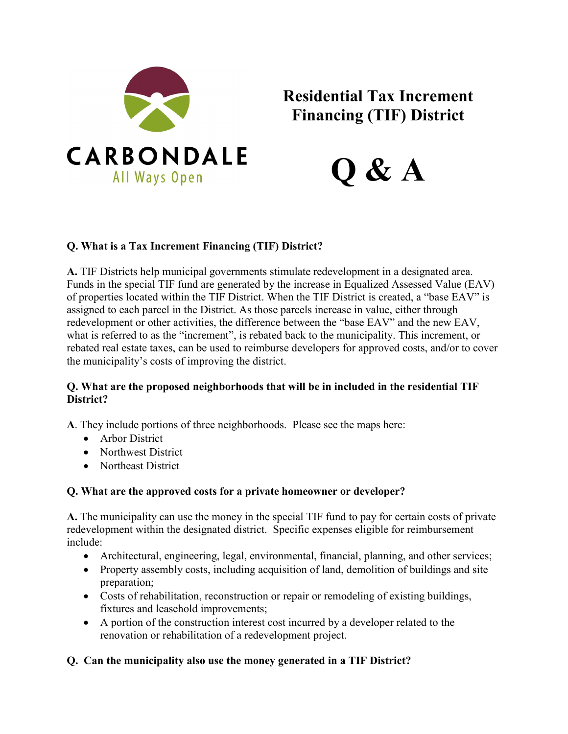

# **Residential Tax Increment Financing (TIF) District**



# **Q. What is a Tax Increment Financing (TIF) District?**

**A.** TIF Districts help municipal governments stimulate redevelopment in a designated area. Funds in the special TIF fund are generated by the increase in Equalized Assessed Value (EAV) of properties located within the TIF District. When the TIF District is created, a "base EAV" is assigned to each parcel in the District. As those parcels increase in value, either through redevelopment or other activities, the difference between the "base EAV" and the new EAV, what is referred to as the "increment", is rebated back to the municipality. This increment, or rebated real estate taxes, can be used to reimburse developers for approved costs, and/or to cover the municipality's costs of improving the district.

## **Q. What are the proposed neighborhoods that will be in included in the residential TIF District?**

**A**. They include portions of three neighborhoods. Please see the maps here:

- Arbor District
- Northwest District
- Northeast District

# **Q. What are the approved costs for a private homeowner or developer?**

**A.** The municipality can use the money in the special TIF fund to pay for certain costs of private redevelopment within the designated district. Specific expenses eligible for reimbursement include:

- Architectural, engineering, legal, environmental, financial, planning, and other services;
- Property assembly costs, including acquisition of land, demolition of buildings and site preparation;
- Costs of rehabilitation, reconstruction or repair or remodeling of existing buildings, fixtures and leasehold improvements;
- A portion of the construction interest cost incurred by a developer related to the renovation or rehabilitation of a redevelopment project.

# **Q. Can the municipality also use the money generated in a TIF District?**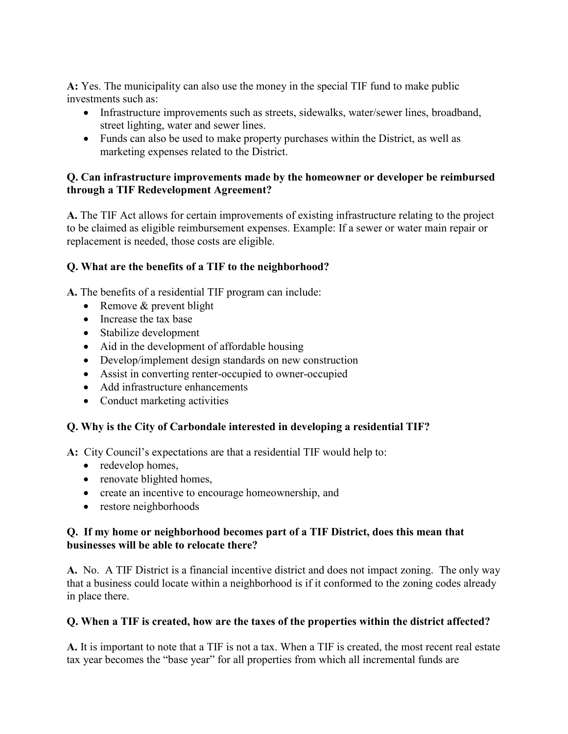**A:** Yes. The municipality can also use the money in the special TIF fund to make public investments such as:

- Infrastructure improvements such as streets, sidewalks, water/sewer lines, broadband, street lighting, water and sewer lines.
- Funds can also be used to make property purchases within the District, as well as marketing expenses related to the District.

## **Q. Can infrastructure improvements made by the homeowner or developer be reimbursed through a TIF Redevelopment Agreement?**

**A.** The TIF Act allows for certain improvements of existing infrastructure relating to the project to be claimed as eligible reimbursement expenses. Example: If a sewer or water main repair or replacement is needed, those costs are eligible.

## **Q. What are the benefits of a TIF to the neighborhood?**

**A.** The benefits of a residential TIF program can include:

- Remove & prevent blight
- Increase the tax base
- Stabilize development
- Aid in the development of affordable housing
- Develop/implement design standards on new construction
- Assist in converting renter-occupied to owner-occupied
- Add infrastructure enhancements
- Conduct marketing activities

## **Q. Why is the City of Carbondale interested in developing a residential TIF?**

**A:** City Council's expectations are that a residential TIF would help to:

- redevelop homes,
- renovate blighted homes,
- create an incentive to encourage homeownership, and
- restore neighborhoods

## **Q. If my home or neighborhood becomes part of a TIF District, does this mean that businesses will be able to relocate there?**

**A.** No. A TIF District is a financial incentive district and does not impact zoning. The only way that a business could locate within a neighborhood is if it conformed to the zoning codes already in place there.

## **Q. When a TIF is created, how are the taxes of the properties within the district affected?**

**A.** It is important to note that a TIF is not a tax. When a TIF is created, the most recent real estate tax year becomes the "base year" for all properties from which all incremental funds are